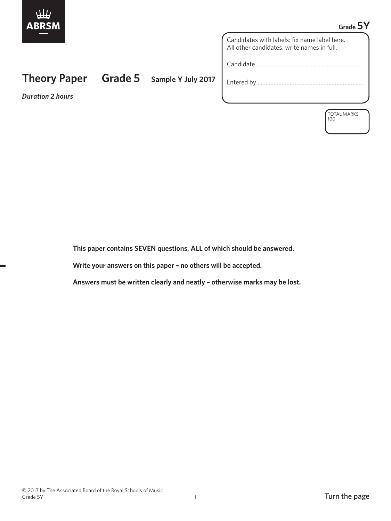

## **Grade 5Y**

Candidates with labels: fix name label here. All other candidates: write names in full.

Candidate …………………………………………………………

Entered by …………………………………………………………

*Duration 2 hours*

**Theory Paper Grade 5 Sample Y July 2017**

TOTAL MARKS 100

 **This paper contains SEVEN questions, ALL of which should be answered.**

 **Write your answers on this paper – no others will be accepted.**

 **Answers must be written clearly and neatly – otherwise marks may be lost.**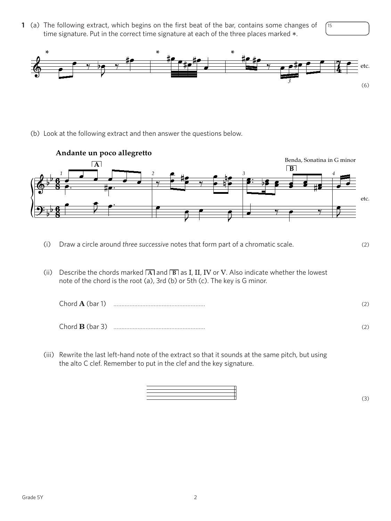**1** (a) The following extract, which begins on the first beat of the bar, contains some changes of time signature. Put in the correct time signature at each of the three places marked  $*$ .





(b) Look at the following extract and then answer the questions below.



- (i) Draw a circle around *three successive* notes that form part of a chromatic scale. (2)
- (ii) Describe the chords marked  $\overline{A}$  and  $\overline{B}$  as I, II, IV or V. Also indicate whether the lowest note of the chord is the root (a), 3rd (b) or 5th (c). The key is G minor.

| Chord $\mathbf{A}$ (bar 1) | (2) |
|----------------------------|-----|
| Chord $\bf{B}$ (bar 3)     |     |

 (iii) Rewrite the last left-hand note of the extract so that it sounds at the same pitch, but using the alto C clef. Remember to put in the clef and the key signature.

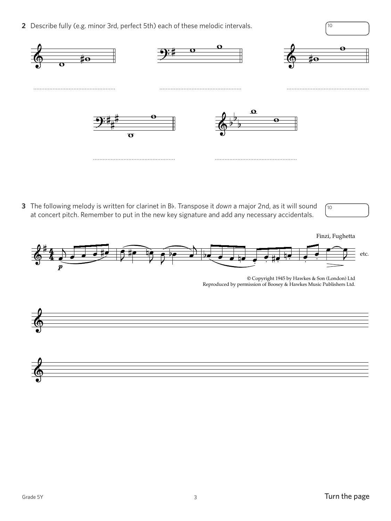**2** Describe fully (e.g. minor 3rd, perfect 5th) each of these melodic intervals.  $\sqrt{10}$ 



**3** The following melody is written for clarinet in Bb. Transpose it *down* a major 2nd, as it will sound at concert pitch. Remember to put in the new key signature and add any necessary accidentals.





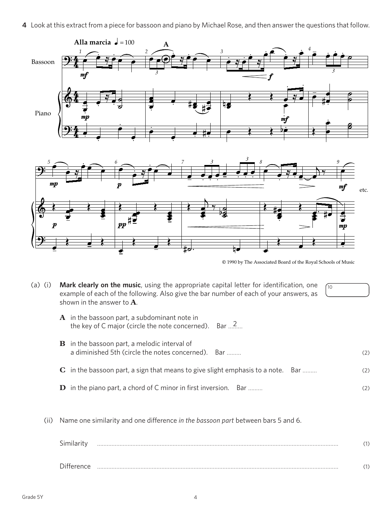**4** Look at this extract from a piece for bassoon and piano by Michael Rose, and then answer the questions that follow.



| <b>.</b><br>imilari |   |
|---------------------|---|
| <b>Difference</b>   | . |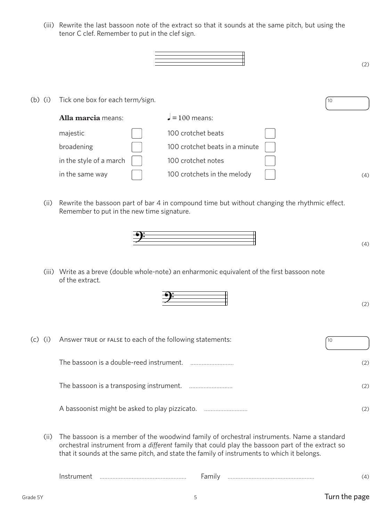(iii) Rewrite the last bassoon note of the extract so that it sounds at the same pitch, but using the tenor C clef. Remember to put in the clef sign.

|           |                                  |                                |    | (2) |
|-----------|----------------------------------|--------------------------------|----|-----|
|           | Tick one box for each term/sign. |                                |    |     |
| $(b)$ (i) | Alla marcia means:               | $= 100$ means:                 | 10 |     |
|           | majestic                         | 100 crotchet beats             |    |     |
|           | broadening                       | 100 crotchet beats in a minute |    |     |
|           | in the style of a march          | 100 crotchet notes             |    |     |
|           | in the same way                  | 100 crotchets in the melody    |    | (4) |
|           |                                  |                                |    |     |

 (ii) Rewrite the bassoon part of bar 4 in compound time but without changing the rhythmic effect. Remember to put in the new time signature.



 (iii) Write as a breve (double whole-note) an enharmonic equivalent of the first bassoon note of the extract.

| (c)<br>(i) | Answer TRUE OF FALSE to each of the following statements: |     |
|------------|-----------------------------------------------------------|-----|
|            | The bassoon is a double-reed instrument.                  | (2) |
|            |                                                           | (2) |
|            | A bassoonist might be asked to play pizzicato.            |     |

 (ii) The bassoon is a member of the woodwind family of orchestral instruments. Name a standard orchestral instrument from a *different* family that could play the bassoon part of the extract so that it sounds at the same pitch, and state the family of instruments to which it belongs.

| .<br>. |  |  |
|--------|--|--|
|--------|--|--|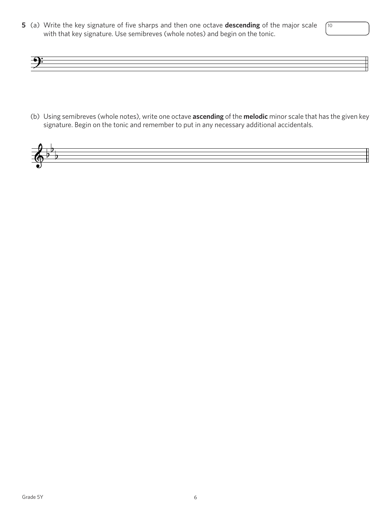**5** (a) Write the key signature of five sharps and then one octave **descending** of the major scale with that key signature. Use semibreves (whole notes) and begin on the tonic.



10

(b) Using semibreves (whole notes), write one octave **ascending** of the **melodic** minor scale that has the given key signature. Begin on the tonic and remember to put in any necessary additional accidentals.

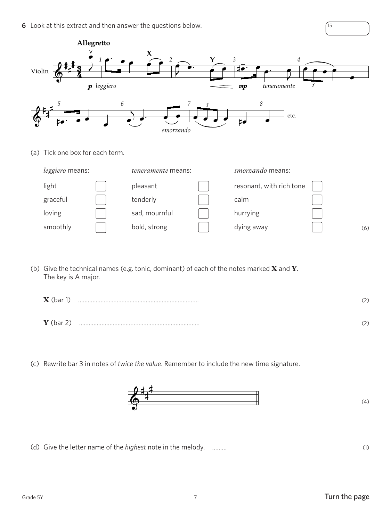**6** Look at this extract and then answer the questions below. 15



(a) Tick one box for each term.

| <i>leggiero</i> means: |  | <i>teneramente</i> means: |  | <i>smorzando</i> means:  |  |     |
|------------------------|--|---------------------------|--|--------------------------|--|-----|
| light                  |  | pleasant                  |  | resonant, with rich tone |  |     |
| graceful               |  | tenderly                  |  | calm                     |  |     |
| loving                 |  | sad, mournful             |  | hurrying                 |  |     |
| smoothly               |  | bold, strong              |  | dying away               |  | (6) |

(b) Give the technical names (e.g. tonic, dominant) of each of the notes marked **X** and **Y**. The key is A major.

| $\mathbf X$ (bar 1) | (2) |
|---------------------|-----|
| $Y$ (bar 2)         | (2) |

(c) Rewrite bar 3 in notes of *twice the value*. Remember to include the new time signature.



(d) Give the letter name of the *highest* note in the melody. ……… (1)